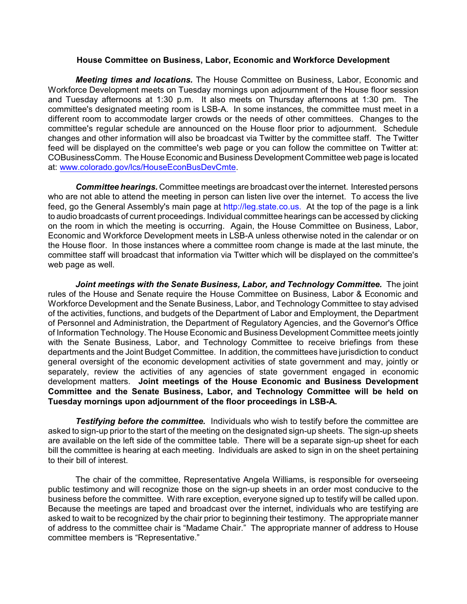## **House Committee on Business, Labor, Economic and Workforce Development**

*Meeting times and locations.* The House Committee on Business, Labor, Economic and Workforce Development meets on Tuesday mornings upon adjournment of the House floor session and Tuesday afternoons at 1:30 p.m. It also meets on Thursday afternoons at 1:30 pm. The committee's designated meeting room is LSB-A. In some instances, the committee must meet in a different room to accommodate larger crowds or the needs of other committees. Changes to the committee's regular schedule are announced on the House floor prior to adjournment. Schedule changes and other information will also be broadcast via Twitter by the committee staff. The Twitter feed will be displayed on the committee's web page or you can follow the committee on Twitter at: COBusinessComm. The House Economic and Business Development Committee web page is located at: [www.colorado.gov/lcs/HouseEconBusDevCmte](http://www.colorado.gov/lcs/HouseBusAffCmte).

*Committee hearings.* Committee meetings are broadcast over the internet. Interested persons who are not able to attend the meeting in person can listen live over the internet. To access the live feed, go the General Assembly's main page at http://leg.state.co.us. At the top of the page is a link to audio broadcasts of current proceedings. Individual committee hearings can be accessed by clicking on the room in which the meeting is occurring. Again, the House Committee on Business, Labor, Economic and Workforce Development meets in LSB-A unless otherwise noted in the calendar or on the House floor. In those instances where a committee room change is made at the last minute, the committee staff will broadcast that information via Twitter which will be displayed on the committee's web page as well.

*Joint meetings with the Senate Business, Labor, and Technology Committee.* The joint rules of the House and Senate require the House Committee on Business, Labor & Economic and Workforce Development and the Senate Business, Labor, and Technology Committee to stay advised of the activities, functions, and budgets of the Department of Labor and Employment, the Department of Personnel and Administration, the Department of Regulatory Agencies, and the Governor's Office of Information Technology. The House Economic and Business Development Committee meets jointly with the Senate Business, Labor, and Technology Committee to receive briefings from these departments and the Joint Budget Committee. In addition, the committees have jurisdiction to conduct general oversight of the economic development activities of state government and may, jointly or separately, review the activities of any agencies of state government engaged in economic development matters. **Joint meetings of the House Economic and Business Development Committee and the Senate Business, Labor, and Technology Committee will be held on Tuesday mornings upon adjournment of the floor proceedings in LSB-A.**

*Testifying before the committee.* Individuals who wish to testify before the committee are asked to sign-up prior to the start of the meeting on the designated sign-up sheets. The sign-up sheets are available on the left side of the committee table. There will be a separate sign-up sheet for each bill the committee is hearing at each meeting. Individuals are asked to sign in on the sheet pertaining to their bill of interest.

The chair of the committee, Representative Angela Williams, is responsible for overseeing public testimony and will recognize those on the sign-up sheets in an order most conducive to the business before the committee. With rare exception, everyone signed up to testify will be called upon. Because the meetings are taped and broadcast over the internet, individuals who are testifying are asked to wait to be recognized by the chair prior to beginning their testimony. The appropriate manner of address to the committee chair is "Madame Chair." The appropriate manner of address to House committee members is "Representative."